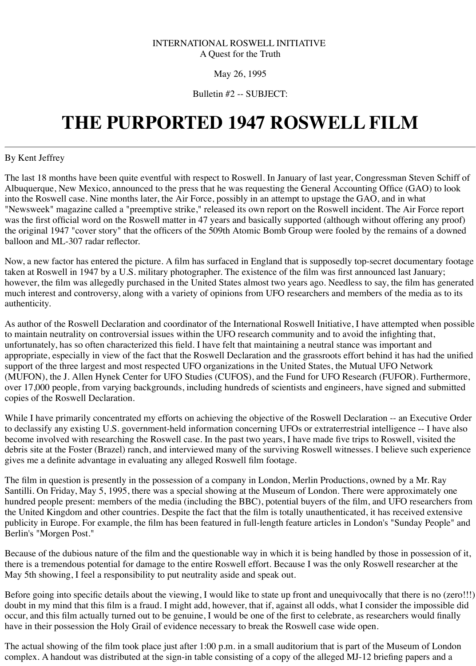### INTERNATIONAL ROSWELL INITIATIVE A Quest for the Truth

### May 26, 1995

# Bulletin #2 -- SUBJECT:

# **THE PURPORTED 1947 ROSWELL FILM**

## By Kent Jeffrey

The last 18 months have been quite eventful with respect to Roswell. In January of last year, Congressman Steven Schiff of Albuquerque, New Mexico, announced to the press that he was requesting the General Accounting Office (GAO) to look into the Roswell case. Nine months later, the Air Force, possibly in an attempt to upstage the GAO, and in what "Newsweek" magazine called a "preemptive strike," released its own report on the Roswell incident. The Air Force report was the first official word on the Roswell matter in 47 years and basically supported (although without offering any proof) the original 1947 "cover story" that the officers of the 509th Atomic Bomb Group were fooled by the remains of a downed balloon and ML-307 radar reflector.

Now, a new factor has entered the picture. A film has surfaced in England that is supposedly top-secret documentary footage taken at Roswell in 1947 by a U.S. military photographer. The existence of the film was first announced last January; however, the film was allegedly purchased in the United States almost two years ago. Needless to say, the film has generated much interest and controversy, along with a variety of opinions from UFO researchers and members of the media as to its authenticity.

As author of the Roswell Declaration and coordinator of the International Roswell Initiative, I have attempted when possible to maintain neutrality on controversial issues within the UFO research community and to avoid the infighting that, unfortunately, has so often characterized this field. I have felt that maintaining a neutral stance was important and appropriate, especially in view of the fact that the Roswell Declaration and the grassroots effort behind it has had the unified support of the three largest and most respected UFO organizations in the United States, the Mutual UFO Network (MUFON), the J. Allen Hynek Center for UFO Studies (CUFOS), and the Fund for UFO Research (FUFOR). Furthermore, over 17,000 people, from varying backgrounds, including hundreds of scientists and engineers, have signed and submitted copies of the Roswell Declaration.

Before going into specific details about the viewing, I would like to state up front and unequivocally that there is no (zero!!!) doubt in my mind that this film is a fraud. I might add, however, that if, against all odds, what I consider the impossible did occur, and this film actually turned out to be genuine, I would be one of the first to celebrate, as researchers would finally have in their possession the Holy Grail of evidence necessary to break the Roswell case wide open.

While I have primarily concentrated my efforts on achieving the objective of the Roswell Declaration -- an Executive Order to declassify any existing U.S. government-held information concerning UFOs or extraterrestrial intelligence -- I have also become involved with researching the Roswell case. In the past two years, I have made five trips to Roswell, visited the debris site at the Foster (Brazel) ranch, and interviewed many of the surviving Roswell witnesses. I believe such experience gives me a definite advantage in evaluating any alleged Roswell film footage.

The film in question is presently in the possession of a company in London, Merlin Productions, owned by a Mr. Ray Santilli. On Friday, May 5, 1995, there was a special showing at the Museum of London. There were approximately one hundred people present: members of the media (including the BBC), potential buyers of the film, and UFO researchers from the United Kingdom and other countries. Despite the fact that the film is totally unauthenticated, it has received extensive publicity in Europe. For example, the film has been featured in full-length feature articles in London's "Sunday People" and

#### Berlin's "Morgen Post."

Because of the dubious nature of the film and the questionable way in which it is being handled by those in possession of it, there is a tremendous potential for damage to the entire Roswell effort. Because I was the only Roswell researcher at the May 5th showing, I feel a responsibility to put neutrality aside and speak out.

The actual showing of the film took place just after 1:00 p.m. in a small auditorium that is part of the Museum of London complex. A handout was distributed at the sign-in table consisting of a copy of the alleged MJ-12 briefing papers and a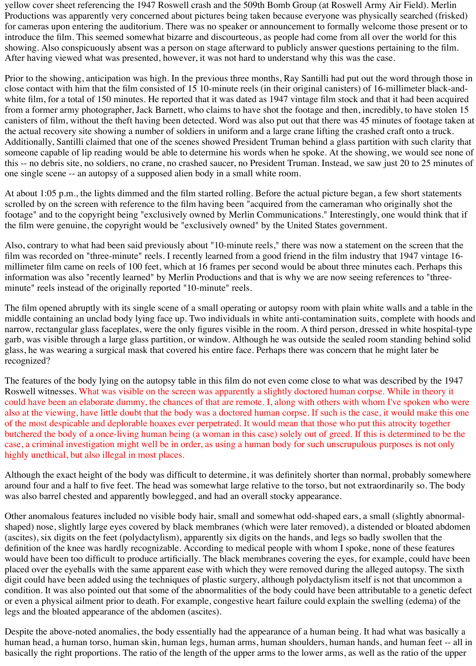yellow cover sheet referencing the 1947 Roswell crash and the 509th Bomb Group (at Roswell Army Air Field). Merlin Productions was apparently very concerned about pictures being taken because everyone was physically searched (frisked) for cameras upon entering the auditorium. There was no speaker or announcement to formally welcome those present or to introduce the film. This seemed somewhat bizarre and discourteous, as people had come from all over the world for this showing. Also conspicuously absent was a person on stage afterward to publicly answer questions pertaining to the film. After having viewed what was presented, however, it was not hard to understand why this was the case.

Prior to the showing, anticipation was high. In the previous three months, Ray Santilli had put out the word through those in close contact with him that the film consisted of 15 10-minute reels (in their original canisters) of 16-millimeter black-andwhite film, for a total of 150 minutes. He reported that it was dated as 1947 vintage film stock and that it had been acquired from a former army photographer, Jack Barnett, who claims to have shot the footage and then, incredibly, to have stolen 15 canisters of film, without the theft having been detected. Word was also put out that there was 45 minutes of footage taken at the actual recovery site showing a number of soldiers in uniform and a large crane lifting the crashed craft onto a truck. Additionally, Santilli claimed that one of the scenes showed President Truman behind a glass partition with such clarity that someone capable of lip reading would be able to determine his words when he spoke. At the showing, we would see none of this -- no debris site, no soldiers, no crane, no crashed saucer, no President Truman. Instead, we saw just 20 to 25 minutes of one single scene -- an autopsy of a supposed alien body in a small white room.

At about 1:05 p.m., the lights dimmed and the film started rolling. Before the actual picture began, a few short statements scrolled by on the screen with reference to the film having been "acquired from the cameraman who originally shot the footage" and to the copyright being "exclusively owned by Merlin Communications." Interestingly, one would think that if the film were genuine, the copyright would be "exclusively owned" by the United States government.

Also, contrary to what had been said previously about "10-minute reels," there was now a statement on the screen that the film was recorded on "three-minute" reels. I recently learned from a good friend in the film industry that 1947 vintage 16 millimeter film came on reels of 100 feet, which at 16 frames per second would be about three minutes each. Perhaps this information was also "recently learned" by Merlin Productions and that is why we are now seeing references to "threeminute" reels instead of the originally reported "10-minute" reels.

The film opened abruptly with its single scene of a small operating or autopsy room with plain white walls and a table in the middle containing an unclad body lying face up. Two individuals in white anti-contamination suits, complete with hoods and narrow, rectangular glass faceplates, were the only figures visible in the room. A third person, dressed in white hospital-type garb, was visible through a large glass partition, or window. Although he was outside the sealed room standing behind solid glass, he was wearing a surgical mask that covered his entire face. Perhaps there was concern that he might later be recognized?

The features of the body lying on the autopsy table in this film do not even come close to what was described by the 1947 Roswell witnesses. What was visible on the screen was apparently a slightly doctored human corpse. While in theory it could have been an elaborate dummy, the chances of that are remote. I, along with others with whom I've spoken who were also at the viewing, have little doubt that the body was a doctored human corpse. If such is the case, it would make this one of the most despicable and deplorable hoaxes ever perpetrated. It would mean that those who put this atrocity together butchered the body of a once-living human being (a woman in this case) solely out of greed. If this is determined to be the case, a criminal investigation might well be in order, as using a human body for such unscrupulous purposes is not only highly unethical, but also illegal in most places.

Although the exact height of the body was difficult to determine, it was definitely shorter than normal, probably somewhere around four and a half to five feet. The head was somewhat large relative to the torso, but not extraordinarily so. The body was also barrel chested and apparently bowlegged, and had an overall stocky appearance.

Other anomalous features included no visible body hair, small and somewhat odd-shaped ears, a small (slightly abnormalshaped) nose, slightly large eyes covered by black membranes (which were later removed), a distended or bloated abdomen (ascites), six digits on the feet (polydactylism), apparently six digits on the hands, and legs so badly swollen that the definition of the knee was hardly recognizable. According to medical people with whom I spoke, none of these features would have been too difficult to produce artificially. The black membranes covering the eyes, for example, could have been placed over the eyeballs with the same apparent ease with which they were removed during the alleged autopsy. The sixth digit could have been added using the techniques of plastic surgery, although polydactylism itself is not that uncommon a condition. It was also pointed out that some of the abnormalities of the body could have been attributable to a genetic defect or even a physical ailment prior to death. For example, congestive heart failure could explain the swelling (edema) of the legs and the bloated appearance of the abdomen (ascites).

Despite the above-noted anomalies, the body essentially had the appearance of a human being. It had what was basically a human head, a human torso, human skin, human legs, human arms, human shoulders, human hands, and human feet -- all in basically the right proportions. The ratio of the length of the upper arms to the lower arms, as well as the ratio of the upper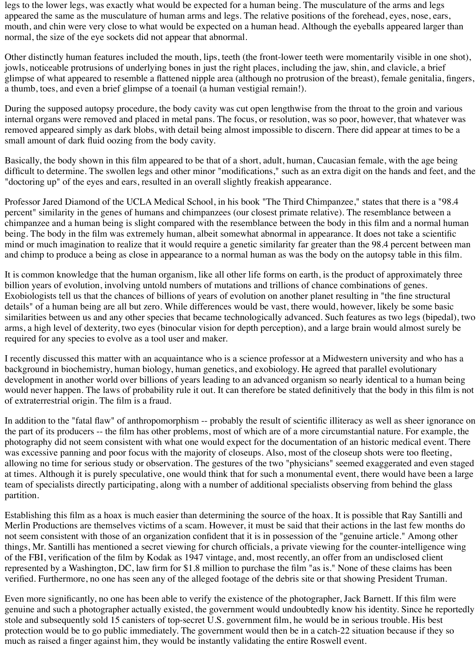legs to the lower legs, was exactly what would be expected for a human being. The musculature of the arms and legs appeared the same as the musculature of human arms and legs. The relative positions of the forehead, eyes, nose, ears, mouth, and chin were very close to what would be expected on a human head. Although the eyeballs appeared larger than normal, the size of the eye sockets did not appear that abnormal.

Other distinctly human features included the mouth, lips, teeth (the front-lower teeth were momentarily visible in one shot), jowls, noticeable protrusions of underlying bones in just the right places, including the jaw, shin, and clavicle, a brief glimpse of what appeared to resemble a flattened nipple area (although no protrusion of the breast), female genitalia, fingers, a thumb, toes, and even a brief glimpse of a toenail (a human vestigial remain!).

During the supposed autopsy procedure, the body cavity was cut open lengthwise from the throat to the groin and various internal organs were removed and placed in metal pans. The focus, or resolution, was so poor, however, that whatever was removed appeared simply as dark blobs, with detail being almost impossible to discern. There did appear at times to be a small amount of dark fluid oozing from the body cavity.

Basically, the body shown in this film appeared to be that of a short, adult, human, Caucasian female, with the age being difficult to determine. The swollen legs and other minor "modifications," such as an extra digit on the hands and feet, and the "doctoring up" of the eyes and ears, resulted in an overall slightly freakish appearance.

Professor Jared Diamond of the UCLA Medical School, in his book "The Third Chimpanzee," states that there is a "98.4 percent" similarity in the genes of humans and chimpanzees (our closest primate relative). The resemblance between a chimpanzee and a human being is slight compared with the resemblance between the body in this film and a normal human being. The body in the film was extremely human, albeit somewhat abnormal in appearance. It does not take a scientific mind or much imagination to realize that it would require a genetic similarity far greater than the 98.4 percent between man and chimp to produce a being as close in appearance to a normal human as was the body on the autopsy table in this film.

It is common knowledge that the human organism, like all other life forms on earth, is the product of approximately three billion years of evolution, involving untold numbers of mutations and trillions of chance combinations of genes. Exobiologists tell us that the chances of billions of years of evolution on another planet resulting in "the fine structural details" of a human being are all but zero. While differences would be vast, there would, however, likely be some basic similarities between us and any other species that became technologically advanced. Such features as two legs (bipedal), two arms, a high level of dexterity, two eyes (binocular vision for depth perception), and a large brain would almost surely be required for any species to evolve as a tool user and maker.

I recently discussed this matter with an acquaintance who is a science professor at a Midwestern university and who has a background in biochemistry, human biology, human genetics, and exobiology. He agreed that parallel evolutionary development in another world over billions of years leading to an advanced organism so nearly identical to a human being would never happen. The laws of probability rule it out. It can therefore be stated definitively that the body in this film is not of extraterrestrial origin. The film is a fraud.

In addition to the "fatal flaw" of anthropomorphism -- probably the result of scientific illiteracy as well as sheer ignorance on the part of its producers -- the film has other problems, most of which are of a more circumstantial nature. For example, the photography did not seem consistent with what one would expect for the documentation of an historic medical event. There was excessive panning and poor focus with the majority of closeups. Also, most of the closeup shots were too fleeting, allowing no time for serious study or observation. The gestures of the two "physicians" seemed exaggerated and even staged at times. Although it is purely speculative, one would think that for such a monumental event, there would have been a large team of specialists directly participating, along with a number of additional specialists observing from behind the glass partition.

Establishing this film as a hoax is much easier than determining the source of the hoax. It is possible that Ray Santilli and Merlin Productions are themselves victims of a scam. However, it must be said that their actions in the last few months do

not seem consistent with those of an organization confident that it is in possession of the "genuine article." Among other things, Mr. Santilli has mentioned a secret viewing for church officials, a private viewing for the counter-intelligence wing of the FBI, verification of the film by Kodak as 1947 vintage, and, most recently, an offer from an undisclosed client represented by a Washington, DC, law firm for \$1.8 million to purchase the film "as is." None of these claims has been verified. Furthermore, no one has seen any of the alleged footage of the debris site or that showing President Truman.

Even more significantly, no one has been able to verify the existence of the photographer, Jack Barnett. If this film were genuine and such a photographer actually existed, the government would undoubtedly know his identity. Since he reportedly stole and subsequently sold 15 canisters of top-secret U.S. government film, he would be in serious trouble. His best protection would be to go public immediately. The government would then be in a catch-22 situation because if they so much as raised a finger against him, they would be instantly validating the entire Roswell event.